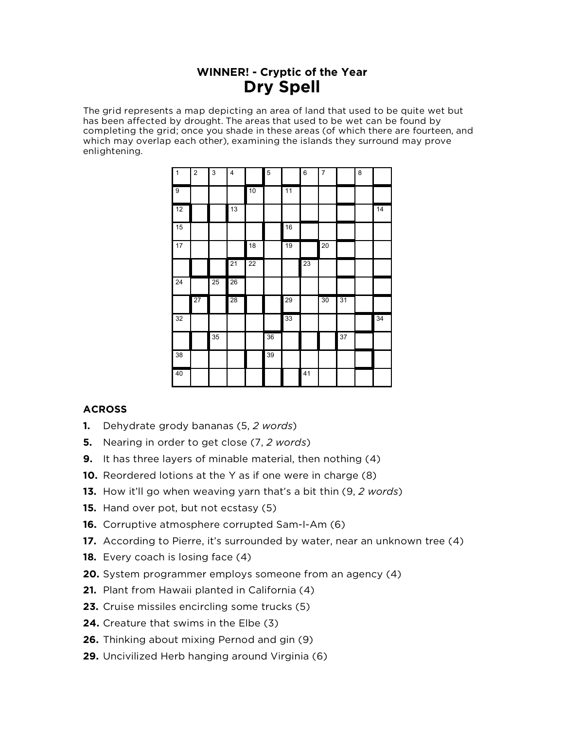## **WINNER! - Cryptic of the Year Dry Spell**

The grid represents a map depicting an area of land that used to be quite wet but has been affected by drought. The areas that used to be wet can be found by completing the grid; once you shade in these areas (of which there are fourteen, and which may overlap each other), examining the islands they surround may prove enlightening.

| $\overline{1}$ | $\overline{2}$ | $\mathbf{3}$ | $\overline{4}$ |    | 5  |    | 6  | $\overline{7}$ |    | 8 |    |
|----------------|----------------|--------------|----------------|----|----|----|----|----------------|----|---|----|
| 9              |                |              |                | 10 |    | 11 |    |                |    |   |    |
| 12             |                |              | 13             |    |    |    |    |                |    |   | 14 |
| 15             |                |              |                |    |    | 16 |    |                |    |   |    |
| 17             |                |              |                | 18 |    | 19 |    | 20             |    |   |    |
|                |                |              | 21             | 22 |    |    | 23 |                |    |   |    |
| 24             |                | 25           | 26             |    |    |    |    |                |    |   |    |
|                | 27             |              | 28             |    |    | 29 |    | 30             | 31 |   |    |
| 32             |                |              |                |    |    | 33 |    |                |    |   | 34 |
|                |                | 35           |                |    | 36 |    |    |                | 37 |   |    |
| 38             |                |              |                |    | 39 |    |    |                |    |   |    |
| 40             |                |              |                |    |    |    | 41 |                |    |   |    |

## **ACROSS**

- **1.** Dehydrate grody bananas (5, *2 words*)
- **5.** Nearing in order to get close (7, *2 words*)
- **9.** It has three layers of minable material, then nothing (4)
- **10.** Reordered lotions at the Y as if one were in charge (8)
- **13.** How it'll go when weaving yarn that's a bit thin (9, *2 words*)
- **15.** Hand over pot, but not ecstasy (5)
- **16.** Corruptive atmosphere corrupted Sam-I-Am (6)
- **17.** According to Pierre, it's surrounded by water, near an unknown tree (4)
- **18.** Every coach is losing face (4)
- **20.** System programmer employs someone from an agency (4)
- **21.** Plant from Hawaii planted in California (4)
- **23.** Cruise missiles encircling some trucks (5)
- **24.** Creature that swims in the Elbe (3)
- **26.** Thinking about mixing Pernod and gin (9)
- **29.** Uncivilized Herb hanging around Virginia (6)